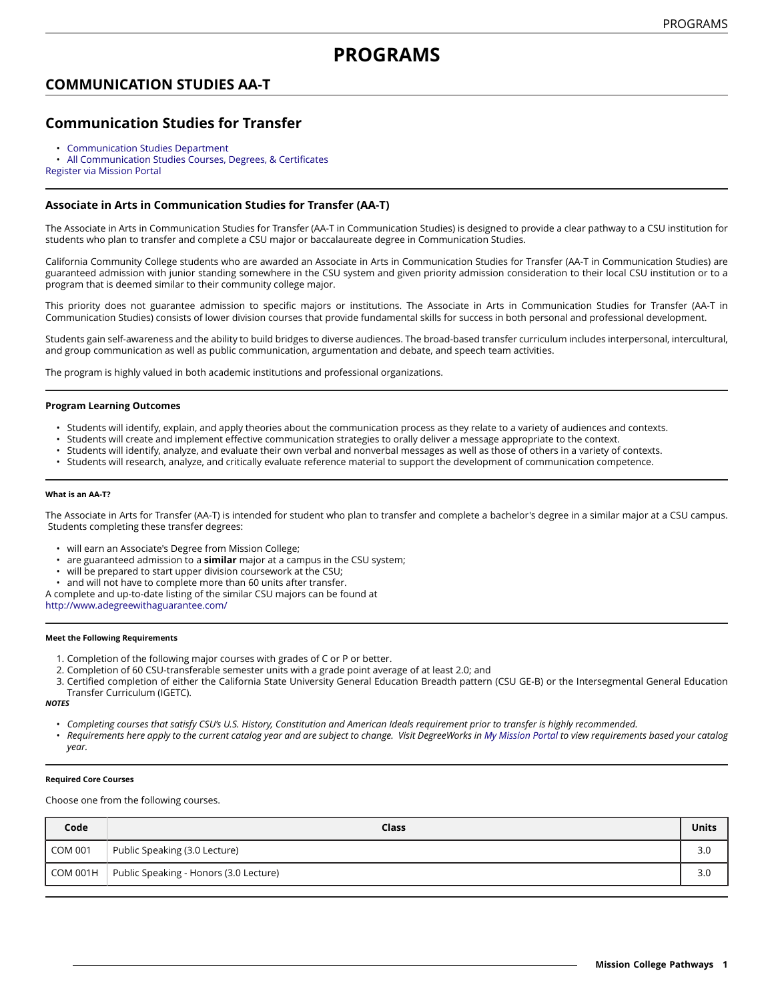# **PROGRAMS**

## **COMMUNICATION STUDIES AA-T**

## **Communication Studies for Transfer**

• [Communication Studies Department](https://dev5.missioncollege.edu/depts/communication-studies/index.html)

• All [Communication](http://majors.missioncollege.edu/current/courses/com.html) Studies Courses, Degrees, & Certificates [Register via Mission Portal](https://web.wvm.edu/)

### **Associate in Arts in Communication Studies for Transfer (AA-T)**

The Associate in Arts in Communication Studies for Transfer (AA-T in Communication Studies) is designed to provide a clear pathway to a CSU institution for students who plan to transfer and complete a CSU major or baccalaureate degree in Communication Studies.

California Community College students who are awarded an Associate in Arts in Communication Studies for Transfer (AA-T in Communication Studies) are guaranteed admission with junior standing somewhere in the CSU system and given priority admission consideration to their local CSU institution or to a program that is deemed similar to their community college major.

This priority does not guarantee admission to specific majors or institutions. The Associate in Arts in Communication Studies for Transfer (AA-T in Communication Studies) consists of lower division courses that provide fundamental skills for success in both personal and professional development.

Students gain self-awareness and the ability to build bridges to diverse audiences. The broad-based transfer curriculum includes interpersonal, intercultural, and group communication as well as public communication, argumentation and debate, and speech team activities.

The program is highly valued in both academic institutions and professional organizations.

#### **Program Learning Outcomes**

- Students will identify, explain, and apply theories about the communication process as they relate to a variety of audiences and contexts.
- Students will create and implement effective communication strategies to orally deliver a message appropriate to the context.
- Students will identify, analyze, and evaluate their own verbal and nonverbal messages as well as those of others in a variety of contexts.
- Students will research, analyze, and critically evaluate reference material to support the development of communication competence.

#### **What is an AA-T?**

The Associate in Arts for Transfer (AA-T) is intended for student who plan to transfer and complete a bachelor's degree in a similar major at a CSU campus. Students completing these transfer degrees:

- will earn an Associate's Degree from Mission College;
- are guaranteed admission to a **similar** major at a campus in the CSU system;
- will be prepared to start upper division coursework at the CSU;
- and will not have to complete more than 60 units after transfer.
- A complete and up-to-date listing of the similar CSU majors can be found at

<http://www.adegreewithaguarantee.com/>

#### **Meet the Following Requirements**

- 1. Completion of the following major courses with grades of C or P or better.
- 2. Completion of 60 CSU-transferable semester units with a grade point average of at least 2.0; and
- 3. Certified completion of either the California State University General Education Breadth pattern (CSU GE-B) or the Intersegmental General Education Transfer Curriculum (IGETC).

*NOTES*

- Completing courses that satisfy CSU's U.S. History, Constitution and American Ideals requirement prior to transfer is highly recommended.
- Requirements here apply to the current catalog year and are subject to change. Visit DegreeWorks in [My Mission Portal](https://wvmccd.sharepoint.com/sites/MCPortal) to view requirements based your catalog *year.*

#### **Required Core Courses**

Choose one from the following courses.

| Code           | Class                                  | Units |
|----------------|----------------------------------------|-------|
| <b>COM 001</b> | Public Speaking (3.0 Lecture)          | 3.0   |
| COM 001H       | Public Speaking - Honors (3.0 Lecture) | 3.0   |